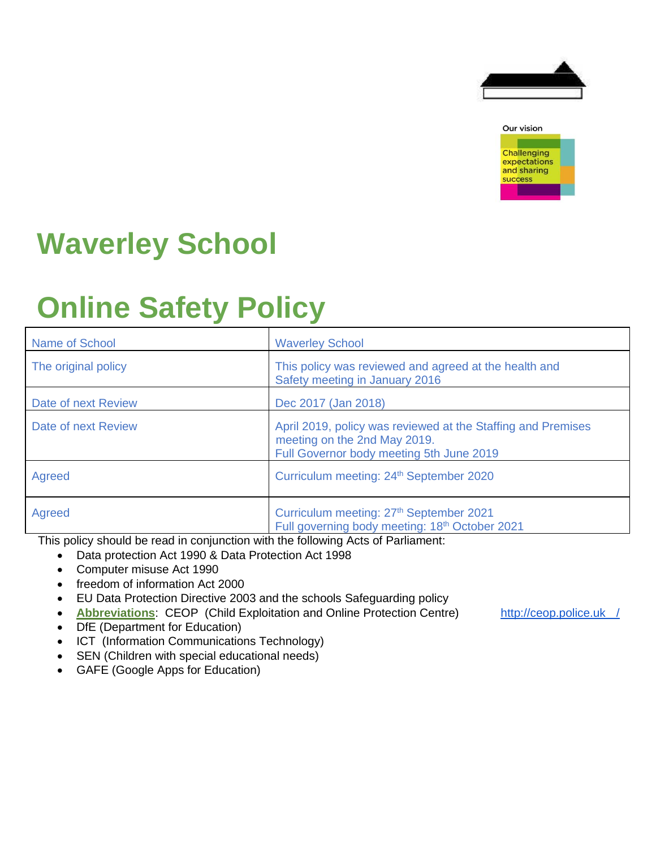



# **Waverley School**

# **Online Safety Policy**

| Name of School                                        | <b>Waverley School</b>                                                                                                                                                                                                                                                                                                                                                                                                |
|-------------------------------------------------------|-----------------------------------------------------------------------------------------------------------------------------------------------------------------------------------------------------------------------------------------------------------------------------------------------------------------------------------------------------------------------------------------------------------------------|
| The original policy                                   | This policy was reviewed and agreed at the health and<br>Safety meeting in January 2016                                                                                                                                                                                                                                                                                                                               |
| Date of next Review                                   | Dec 2017 (Jan 2018)                                                                                                                                                                                                                                                                                                                                                                                                   |
| Date of next Review                                   | April 2019, policy was reviewed at the Staffing and Premises<br>meeting on the 2nd May 2019.<br>Full Governor body meeting 5th June 2019                                                                                                                                                                                                                                                                              |
| Agreed                                                | Curriculum meeting: 24 <sup>th</sup> September 2020                                                                                                                                                                                                                                                                                                                                                                   |
| Agreed<br>the contract of the contract of<br>.<br>. . | Curriculum meeting: 27 <sup>th</sup> September 2021<br>Full governing body meeting: 18 <sup>th</sup> October 2021<br>$\mathbf{u}$ and $\mathbf{v}$ and $\mathbf{v}$ and $\mathbf{v}$ and $\mathbf{v}$ and $\mathbf{v}$ and $\mathbf{v}$ and $\mathbf{v}$ and $\mathbf{v}$ and $\mathbf{v}$ and $\mathbf{v}$ and $\mathbf{v}$ and $\mathbf{v}$ and $\mathbf{v}$ and $\mathbf{v}$ and $\mathbf{v}$ and $\mathbf{v}$ and |

This policy should be read in conjunction with the following Acts of Parliament:

- Data protection Act 1990 & Data Protection Act 1998
- Computer misuse Act 1990
- freedom of information Act 2000
- EU Data Protection Directive 2003 and the schools Safeguarding policy
- **Abbreviations**: CEOP (Child Exploitation and Online Protection Centre) [http://ceop.police.uk](http://ceop.police.uk/) [/](http://ceop.police.uk/)
- DfE (Department for Education)
- ICT (Information Communications Technology)
- SEN (Children with special educational needs)
- GAFE (Google Apps for Education)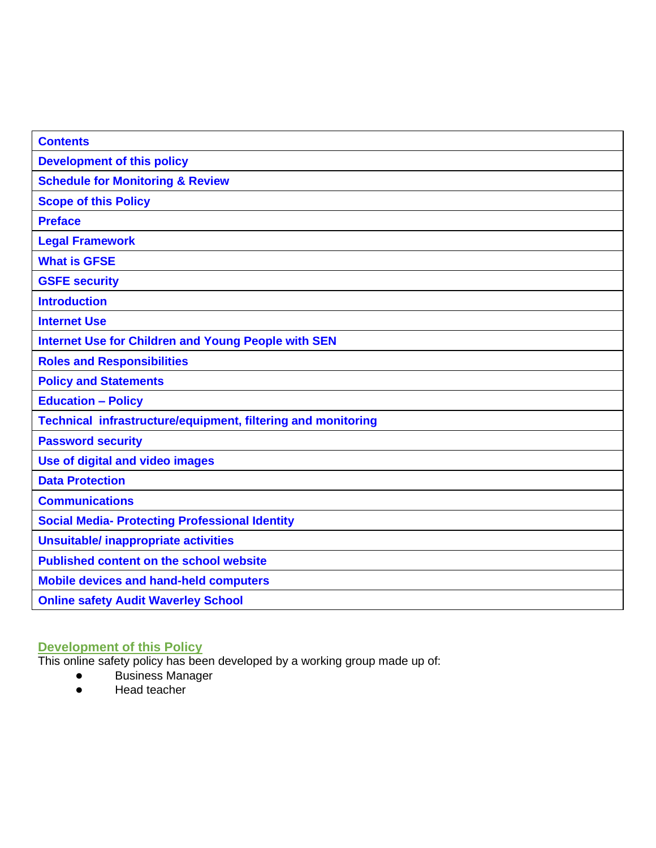| <b>Contents</b>                                                     |
|---------------------------------------------------------------------|
| <b>Development of this policy</b>                                   |
| <b>Schedule for Monitoring &amp; Review</b>                         |
| <b>Scope of this Policy</b>                                         |
| <b>Preface</b>                                                      |
| <b>Legal Framework</b>                                              |
| <b>What is GFSE</b>                                                 |
| <b>GSFE security</b>                                                |
| <b>Introduction</b>                                                 |
| <b>Internet Use</b>                                                 |
| <b>Internet Use for Children and Young People with SEN</b>          |
| <b>Roles and Responsibilities</b>                                   |
| <b>Policy and Statements</b>                                        |
| <b>Education - Policy</b>                                           |
| <b>Technical infrastructure/equipment, filtering and monitoring</b> |
| <b>Password security</b>                                            |
| Use of digital and video images                                     |
| <b>Data Protection</b>                                              |
| <b>Communications</b>                                               |
| <b>Social Media- Protecting Professional Identity</b>               |
| <b>Unsuitable/ inappropriate activities</b>                         |
| <b>Published content on the school website</b>                      |
| <b>Mobile devices and hand-held computers</b>                       |
| <b>Online safety Audit Waverley School</b>                          |

# **Development of this Policy**

This online safety policy has been developed by a working group made up of:

- Business Manager
- Head teacher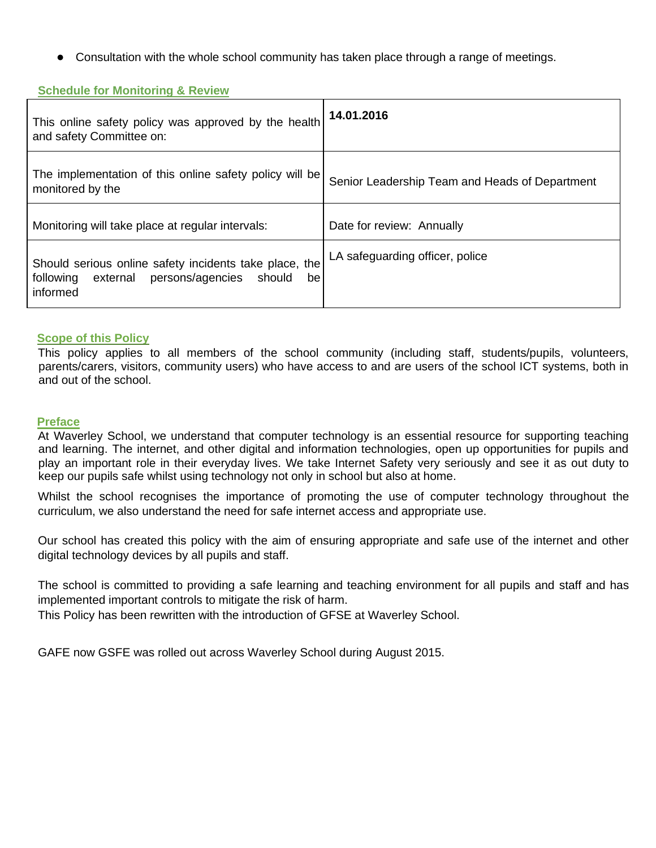● Consultation with the whole school community has taken place through a range of meetings.

### **Schedule for Monitoring & Review**

| This online safety policy was approved by the health<br>and safety Committee on:                                             | 14.01.2016                                     |
|------------------------------------------------------------------------------------------------------------------------------|------------------------------------------------|
| The implementation of this online safety policy will be<br>monitored by the                                                  | Senior Leadership Team and Heads of Department |
| Monitoring will take place at regular intervals:                                                                             | Date for review: Annually                      |
| Should serious online safety incidents take place, the<br>persons/agencies<br>following external<br>should<br>be<br>informed | LA safeguarding officer, police                |

#### **Scope of this Policy**

This policy applies to all members of the school community (including staff, students/pupils, volunteers, parents/carers, visitors, community users) who have access to and are users of the school ICT systems, both in and out of the school.

#### **Preface**

At Waverley School, we understand that computer technology is an essential resource for supporting teaching and learning. The internet, and other digital and information technologies, open up opportunities for pupils and play an important role in their everyday lives. We take Internet Safety very seriously and see it as out duty to keep our pupils safe whilst using technology not only in school but also at home.

Whilst the school recognises the importance of promoting the use of computer technology throughout the curriculum, we also understand the need for safe internet access and appropriate use.

Our school has created this policy with the aim of ensuring appropriate and safe use of the internet and other digital technology devices by all pupils and staff.

The school is committed to providing a safe learning and teaching environment for all pupils and staff and has implemented important controls to mitigate the risk of harm.

This Policy has been rewritten with the introduction of GFSE at Waverley School.

GAFE now GSFE was rolled out across Waverley School during August 2015.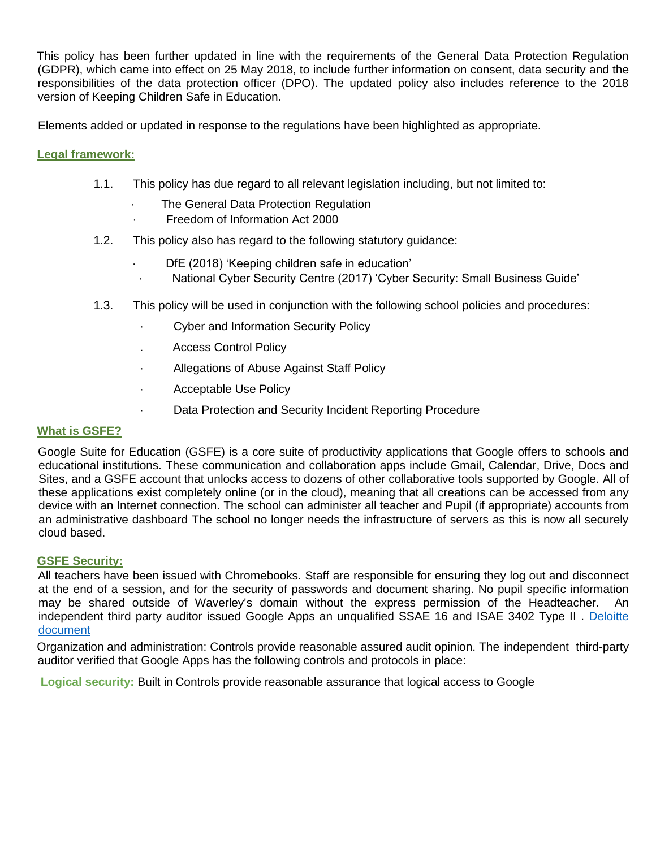This policy has been further updated in line with the requirements of the General Data Protection Regulation (GDPR), which came into effect on 25 May 2018, to include further information on consent, data security and the responsibilities of the data protection officer (DPO). The updated policy also includes reference to the 2018 version of Keeping Children Safe in Education.

Elements added or updated in response to the regulations have been highlighted as appropriate.

## **Legal framework:**

- 1.1. This policy has due regard to all relevant legislation including, but not limited to:
	- The General Data Protection Regulation
	- · Freedom of Information Act 2000
- 1.2. This policy also has regard to the following statutory guidance:
	- DfE (2018) 'Keeping children safe in education'
	- · National Cyber Security Centre (2017) 'Cyber Security: Small Business Guide'
- 1.3. This policy will be used in conjunction with the following school policies and procedures:
	- · Cyber and Information Security Policy
	- . Access Control Policy
	- · Allegations of Abuse Against Staff Policy
	- · Acceptable Use Policy
		- Data Protection and Security Incident Reporting Procedure

## **What is GSFE?**

Google Suite for Education (GSFE) is a core suite of productivity applications that Google offers to schools and educational institutions. These communication and collaboration apps include Gmail, Calendar, Drive, Docs and Sites, and a GSFE account that unlocks access to dozens of other collaborative tools supported by Google. All of these applications exist completely online (or in the cloud), meaning that all creations can be accessed from any device with an Internet connection. The school can administer all teacher and Pupil (if appropriate) accounts from an administrative dashboard The school no longer needs the infrastructure of servers as this is now all securely cloud based.

## **GSFE Security:**

All teachers have been issued with Chromebooks. Staff are responsible for ensuring they log out and disconnect at the end of a session, and for the security of passwords and document sharing. No pupil specific information may be shared outside of Waverley's domain without the express permission of the Headteacher. An independent third party auditor issued Google Apps an unqualified SSAE 16 and ISAE 3402 Type II . [Deloitte]((http:/www2.deloitte.com/content/dam/Deloitte/lu/Documents/risk/lu_en_isae3402-ssae16_04072014.%09p%20df))  [document]((http:/www2.deloitte.com/content/dam/Deloitte/lu/Documents/risk/lu_en_isae3402-ssae16_04072014.%09p%20df))

Organization and administration: Controls provide reasonable assured audit opinion. The independent third-party auditor verified that Google Apps has the following controls and protocols in place:

**Logical security:** Built in Controls provide reasonable assurance that logical access to Google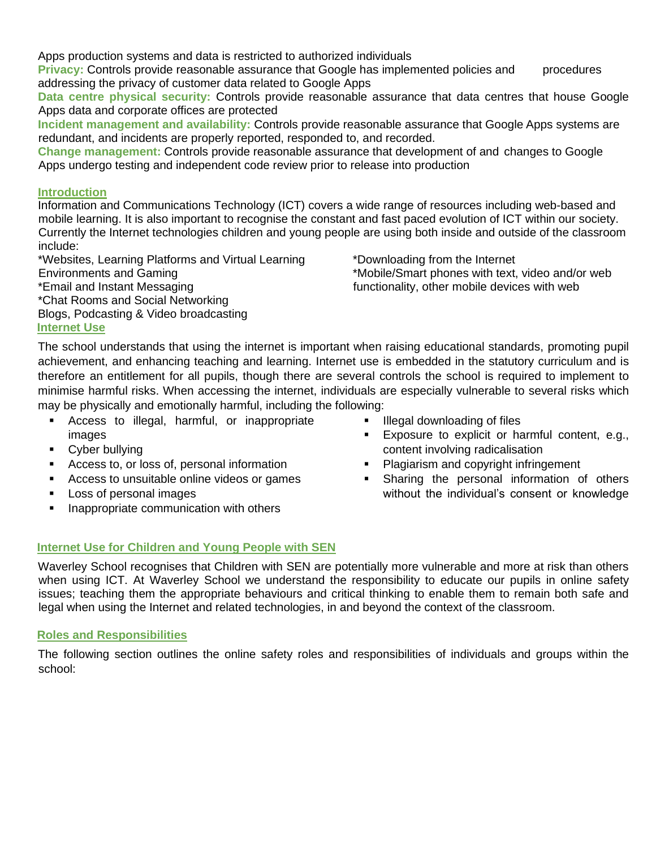Apps production systems and data is restricted to authorized individuals

**Privacy:** Controls provide reasonable assurance that Google has implemented policies and procedures addressing the privacy of customer data related to Google Apps

**Data centre physical security:** Controls provide reasonable assurance that data centres that house Google Apps data and corporate offices are protected

**Incident management and availability:** Controls provide reasonable assurance that Google Apps systems are redundant, and incidents are properly reported, responded to, and recorded.

**Change management:** Controls provide reasonable assurance that development of and changes to Google Apps undergo testing and independent code review prior to release into production

# **Introduction**

Information and Communications Technology (ICT) covers a wide range of resources including web-based and mobile learning. It is also important to recognise the constant and fast paced evolution of ICT within our society. Currently the Internet technologies children and young people are using both inside and outside of the classroom include:

\*Websites, Learning Platforms and Virtual Learning Environments and Gaming \*Email and Instant Messaging \*Chat Rooms and Social Networking Blogs, Podcasting & Video broadcasting **Internet Use**

\*Downloading from the Internet \*Mobile/Smart phones with text, video and/or web functionality, other mobile devices with web

The school understands that using the internet is important when raising educational standards, promoting pupil achievement, and enhancing teaching and learning. Internet use is embedded in the statutory curriculum and is therefore an entitlement for all pupils, though there are several controls the school is required to implement to minimise harmful risks. When accessing the internet, individuals are especially vulnerable to several risks which may be physically and emotionally harmful, including the following:

- Access to illegal, harmful, or inappropriate images
- Cyber bullying
- Access to, or loss of, personal information
- Access to unsuitable online videos or games
- Loss of personal images
- **■** Inappropriate communication with others
- Illegal downloading of files
- Exposure to explicit or harmful content, e.g., content involving radicalisation
- Plagiarism and copyright infringement
- **EXECUTE:** Sharing the personal information of others without the individual's consent or knowledge

# **Internet Use for Children and Young People with SEN**

Waverley School recognises that Children with SEN are potentially more vulnerable and more at risk than others when using ICT. At Waverley School we understand the responsibility to educate our pupils in online safety issues; teaching them the appropriate behaviours and critical thinking to enable them to remain both safe and legal when using the Internet and related technologies, in and beyond the context of the classroom.

## **Roles and Responsibilities**

The following section outlines the online safety roles and responsibilities of individuals and groups within the school: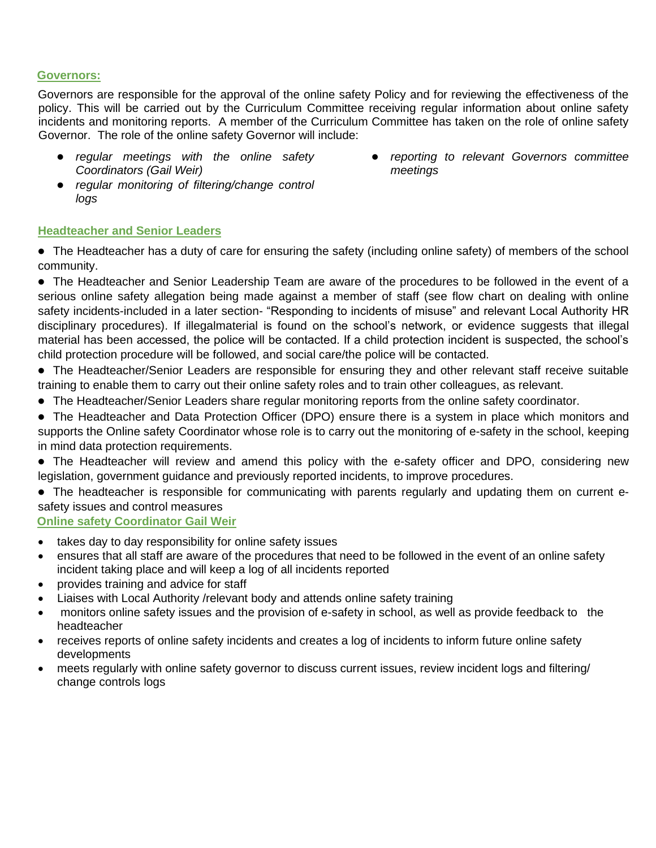#### **Governors:**

Governors are responsible for the approval of the online safety Policy and for reviewing the effectiveness of the policy. This will be carried out by the Curriculum Committee receiving regular information about online safety incidents and monitoring reports. A member of the Curriculum Committee has taken on the role of online safety Governor. The role of the online safety Governor will include:

- *● regular meetings with the online safety Coordinators (Gail Weir)*
- *● regular monitoring of filtering/change control logs*

#### **Headteacher and Senior Leaders**

● The Headteacher has a duty of care for ensuring the safety (including online safety) of members of the school community.

● The Headteacher and Senior Leadership Team are aware of the procedures to be followed in the event of a serious online safety allegation being made against a member of staff (see flow chart on dealing with online safety incidents-included in a later section- "Responding to incidents of misuse" and relevant Local Authority HR disciplinary procedures). If illegalmaterial is found on the school's network, or evidence suggests that illegal material has been accessed, the police will be contacted. If a child protection incident is suspected, the school's child protection procedure will be followed, and social care/the police will be contacted.

● The Headteacher/Senior Leaders are responsible for ensuring they and other relevant staff receive suitable training to enable them to carry out their online safety roles and to train other colleagues, as relevant.

● The Headteacher/Senior Leaders share regular monitoring reports from the online safety coordinator.

• The Headteacher and Data Protection Officer (DPO) ensure there is a system in place which monitors and supports the Online safety Coordinator whose role is to carry out the monitoring of e-safety in the school, keeping in mind data protection requirements.

• The Headteacher will review and amend this policy with the e-safety officer and DPO, considering new legislation, government guidance and previously reported incidents, to improve procedures.

• The headteacher is responsible for communicating with parents regularly and updating them on current esafety issues and control measures

## **Online safety Coordinator Gail Weir**

- takes day to day responsibility for online safety issues
- ensures that all staff are aware of the procedures that need to be followed in the event of an online safety incident taking place and will keep a log of all incidents reported
- provides training and advice for staff
- Liaises with Local Authority /relevant body and attends online safety training
- monitors online safety issues and the provision of e-safety in school, as well as provide feedback to the headteacher
- receives reports of online safety incidents and creates a log of incidents to inform future online safety developments
- meets regularly with online safety governor to discuss current issues, review incident logs and filtering/ change controls logs

*reporting to relevant Governors committee meetings*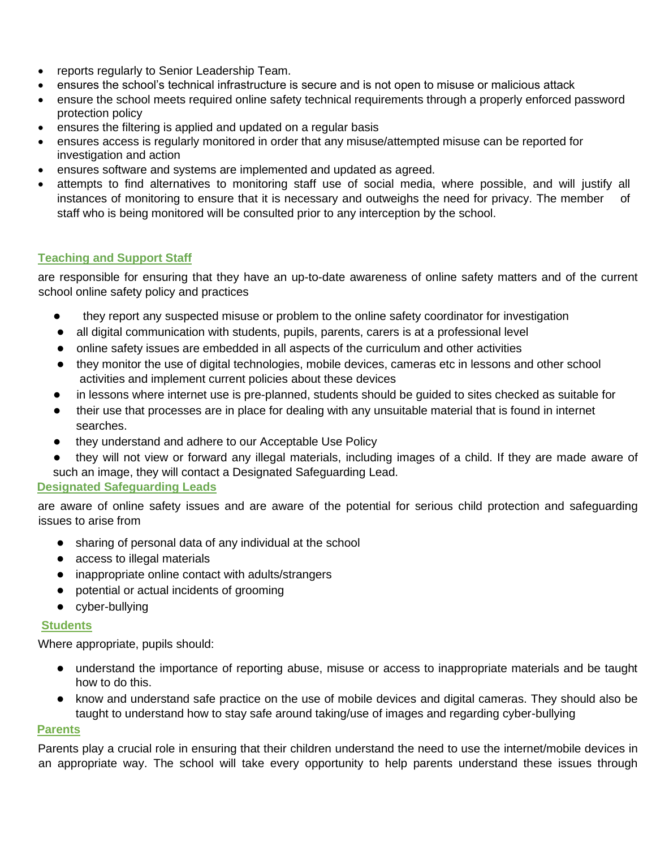- reports regularly to Senior Leadership Team.
- ensures the school's technical infrastructure is secure and is not open to misuse or malicious attack
- ensure the school meets required online safety technical requirements through a properly enforced password protection policy
- ensures the filtering is applied and updated on a regular basis
- ensures access is regularly monitored in order that any misuse/attempted misuse can be reported for investigation and action
- ensures software and systems are implemented and updated as agreed.
- attempts to find alternatives to monitoring staff use of social media, where possible, and will justify all instances of monitoring to ensure that it is necessary and outweighs the need for privacy. The member of staff who is being monitored will be consulted prior to any interception by the school.

## **Teaching and Support Staff**

are responsible for ensuring that they have an up-to-date awareness of online safety matters and of the current school online safety policy and practices

- they report any suspected misuse or problem to the online safety coordinator for investigation
- all digital communication with students, pupils, parents, carers is at a professional level
- online safety issues are embedded in all aspects of the curriculum and other activities
- they monitor the use of digital technologies, mobile devices, cameras etc in lessons and other school activities and implement current policies about these devices
- in lessons where internet use is pre-planned, students should be guided to sites checked as suitable for
- their use that processes are in place for dealing with any unsuitable material that is found in internet searches.
- they understand and adhere to our Acceptable Use Policy
- they will not view or forward any illegal materials, including images of a child. If they are made aware of such an image, they will contact a Designated Safeguarding Lead.

## **Designated Safeguarding Leads**

are aware of online safety issues and are aware of the potential for serious child protection and safeguarding issues to arise from

- sharing of personal data of any individual at the school
- access to illegal materials
- inappropriate online contact with adults/strangers
- potential or actual incidents of grooming
- cyber-bullying

#### **Students**

Where appropriate, pupils should:

- understand the importance of reporting abuse, misuse or access to inappropriate materials and be taught how to do this.
- know and understand safe practice on the use of mobile devices and digital cameras. They should also be taught to understand how to stay safe around taking/use of images and regarding cyber-bullying

## **Parents**

Parents play a crucial role in ensuring that their children understand the need to use the internet/mobile devices in an appropriate way. The school will take every opportunity to help parents understand these issues through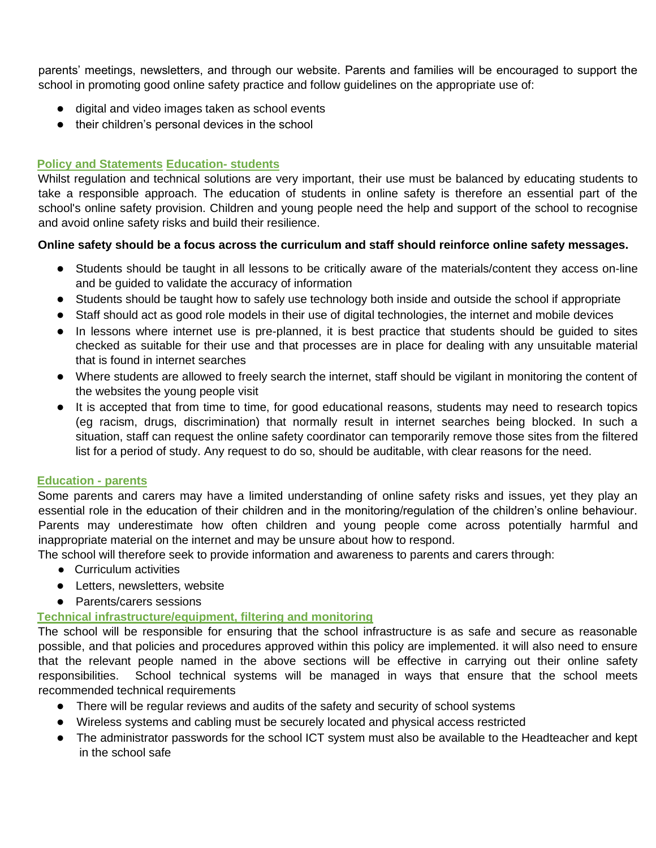parents' meetings, newsletters, and through our website. Parents and families will be encouraged to support the school in promoting good online safety practice and follow guidelines on the appropriate use of:

- digital and video images taken as school events
- their children's personal devices in the school

## **Policy and Statements Education- students**

Whilst regulation and technical solutions are very important, their use must be balanced by educating students to take a responsible approach. The education of students in online safety is therefore an essential part of the school's online safety provision. Children and young people need the help and support of the school to recognise and avoid online safety risks and build their resilience.

## **Online safety should be a focus across the curriculum and staff should reinforce online safety messages.**

- Students should be taught in all lessons to be critically aware of the materials/content they access on-line and be guided to validate the accuracy of information
- Students should be taught how to safely use technology both inside and outside the school if appropriate
- Staff should act as good role models in their use of digital technologies, the internet and mobile devices
- In lessons where internet use is pre-planned, it is best practice that students should be guided to sites checked as suitable for their use and that processes are in place for dealing with any unsuitable material that is found in internet searches
- Where students are allowed to freely search the internet, staff should be vigilant in monitoring the content of the websites the young people visit
- It is accepted that from time to time, for good educational reasons, students may need to research topics (eg racism, drugs, discrimination) that normally result in internet searches being blocked. In such a situation, staff can request the online safety coordinator can temporarily remove those sites from the filtered list for a period of study. Any request to do so, should be auditable, with clear reasons for the need.

## **Education - parents**

Some parents and carers may have a limited understanding of online safety risks and issues, yet they play an essential role in the education of their children and in the monitoring/regulation of the children's online behaviour. Parents may underestimate how often children and young people come across potentially harmful and inappropriate material on the internet and may be unsure about how to respond.

The school will therefore seek to provide information and awareness to parents and carers through:

- Curriculum activities
- Letters, newsletters, website
- Parents/carers sessions

## **Technical infrastructure/equipment, filtering and monitoring**

The school will be responsible for ensuring that the school infrastructure is as safe and secure as reasonable possible, and that policies and procedures approved within this policy are implemented. it will also need to ensure that the relevant people named in the above sections will be effective in carrying out their online safety responsibilities. School technical systems will be managed in ways that ensure that the school meets recommended technical requirements

- There will be regular reviews and audits of the safety and security of school systems
- Wireless systems and cabling must be securely located and physical access restricted
- The administrator passwords for the school ICT system must also be available to the Headteacher and kept in the school safe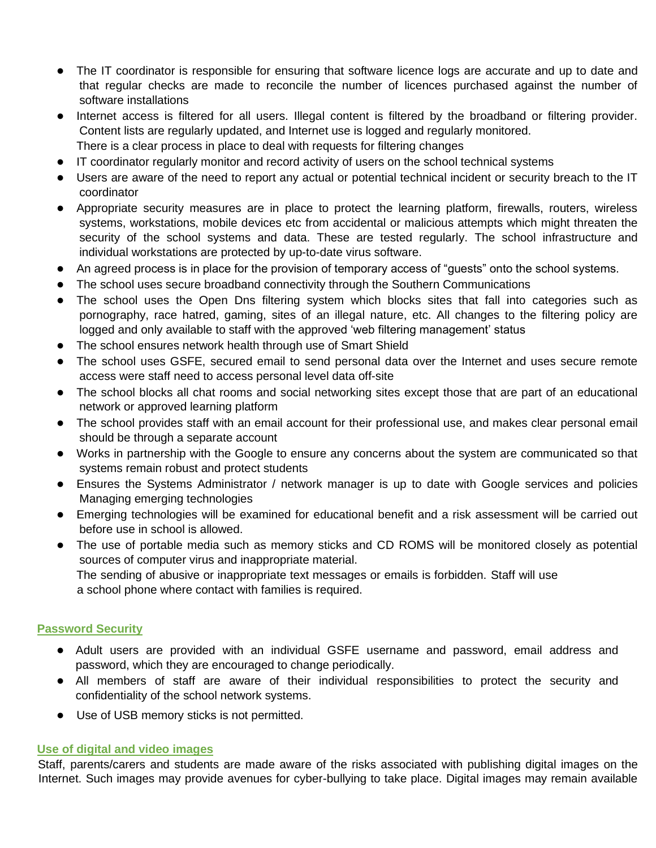- The IT coordinator is responsible for ensuring that software licence logs are accurate and up to date and that regular checks are made to reconcile the number of licences purchased against the number of software installations
- Internet access is filtered for all users. Illegal content is filtered by the broadband or filtering provider. Content lists are regularly updated, and Internet use is logged and regularly monitored. There is a clear process in place to deal with requests for filtering changes
- IT coordinator regularly monitor and record activity of users on the school technical systems
- Users are aware of the need to report any actual or potential technical incident or security breach to the IT coordinator
- Appropriate security measures are in place to protect the learning platform, firewalls, routers, wireless systems, workstations, mobile devices etc from accidental or malicious attempts which might threaten the security of the school systems and data. These are tested regularly. The school infrastructure and individual workstations are protected by up-to-date virus software.
- An agreed process is in place for the provision of temporary access of "guests" onto the school systems.
- The school uses secure broadband connectivity through the Southern Communications
- The school uses the Open Dns filtering system which blocks sites that fall into categories such as pornography, race hatred, gaming, sites of an illegal nature, etc. All changes to the filtering policy are logged and only available to staff with the approved 'web filtering management' status
- The school ensures network health through use of Smart Shield
- The school uses GSFE, secured email to send personal data over the Internet and uses secure remote access were staff need to access personal level data off-site
- The school blocks all chat rooms and social networking sites except those that are part of an educational network or approved learning platform
- The school provides staff with an email account for their professional use, and makes clear personal email should be through a separate account
- Works in partnership with the Google to ensure any concerns about the system are communicated so that systems remain robust and protect students
- Ensures the Systems Administrator / network manager is up to date with Google services and policies Managing emerging technologies
- Emerging technologies will be examined for educational benefit and a risk assessment will be carried out before use in school is allowed.
- The use of portable media such as memory sticks and CD ROMS will be monitored closely as potential sources of computer virus and inappropriate material. The sending of abusive or inappropriate text messages or emails is forbidden. Staff will use a school phone where contact with families is required.

#### **Password Security**

- Adult users are provided with an individual GSFE username and password, email address and password, which they are encouraged to change periodically.
- All members of staff are aware of their individual responsibilities to protect the security and confidentiality of the school network systems.
- Use of USB memory sticks is not permitted.

#### **Use of digital and video images**

Staff, parents/carers and students are made aware of the risks associated with publishing digital images on the Internet. Such images may provide avenues for cyber-bullying to take place. Digital images may remain available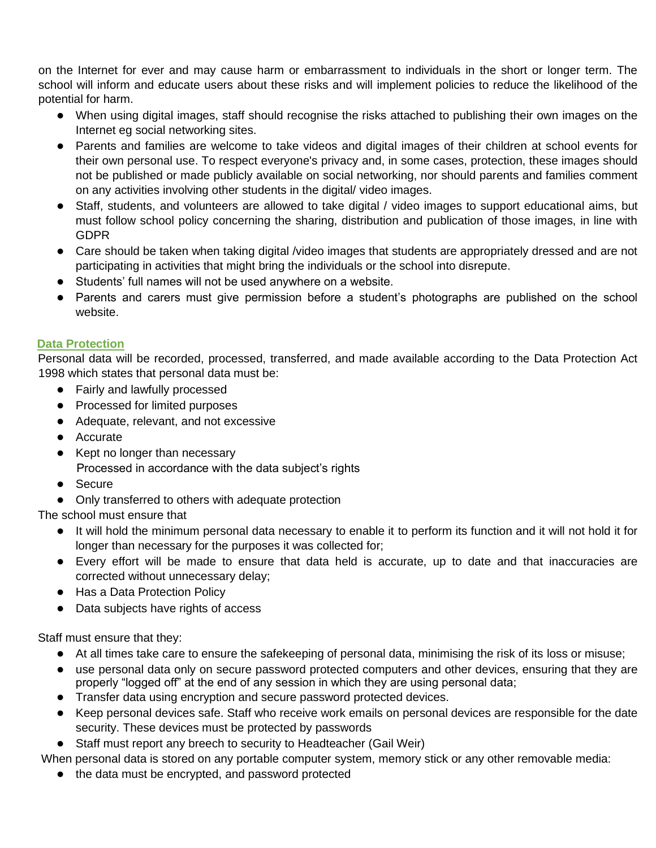on the Internet for ever and may cause harm or embarrassment to individuals in the short or longer term. The school will inform and educate users about these risks and will implement policies to reduce the likelihood of the potential for harm.

- When using digital images, staff should recognise the risks attached to publishing their own images on the Internet eg social networking sites.
- Parents and families are welcome to take videos and digital images of their children at school events for their own personal use. To respect everyone's privacy and, in some cases, protection, these images should not be published or made publicly available on social networking, nor should parents and families comment on any activities involving other students in the digital/ video images.
- Staff, students, and volunteers are allowed to take digital / video images to support educational aims, but must follow school policy concerning the sharing, distribution and publication of those images, in line with GDPR
- Care should be taken when taking digital /video images that students are appropriately dressed and are not participating in activities that might bring the individuals or the school into disrepute.
- Students' full names will not be used anywhere on a website.
- Parents and carers must give permission before a student's photographs are published on the school website.

## **Data Protection**

Personal data will be recorded, processed, transferred, and made available according to the Data Protection Act 1998 which states that personal data must be:

- Fairly and lawfully processed
- Processed for limited purposes
- Adequate, relevant, and not excessive
- Accurate
- Kept no longer than necessary Processed in accordance with the data subject's rights
- Secure
- Only transferred to others with adequate protection

The school must ensure that

- It will hold the minimum personal data necessary to enable it to perform its function and it will not hold it for longer than necessary for the purposes it was collected for;
- Every effort will be made to ensure that data held is accurate, up to date and that inaccuracies are corrected without unnecessary delay;
- Has a Data Protection Policy
- Data subjects have rights of access

Staff must ensure that they:

- At all times take care to ensure the safekeeping of personal data, minimising the risk of its loss or misuse;
- use personal data only on secure password protected computers and other devices, ensuring that they are properly "logged off" at the end of any session in which they are using personal data;
- Transfer data using encryption and secure password protected devices.
- Keep personal devices safe. Staff who receive work emails on personal devices are responsible for the date security. These devices must be protected by passwords
- Staff must report any breech to security to Headteacher (Gail Weir)

When personal data is stored on any portable computer system, memory stick or any other removable media:

● the data must be encrypted, and password protected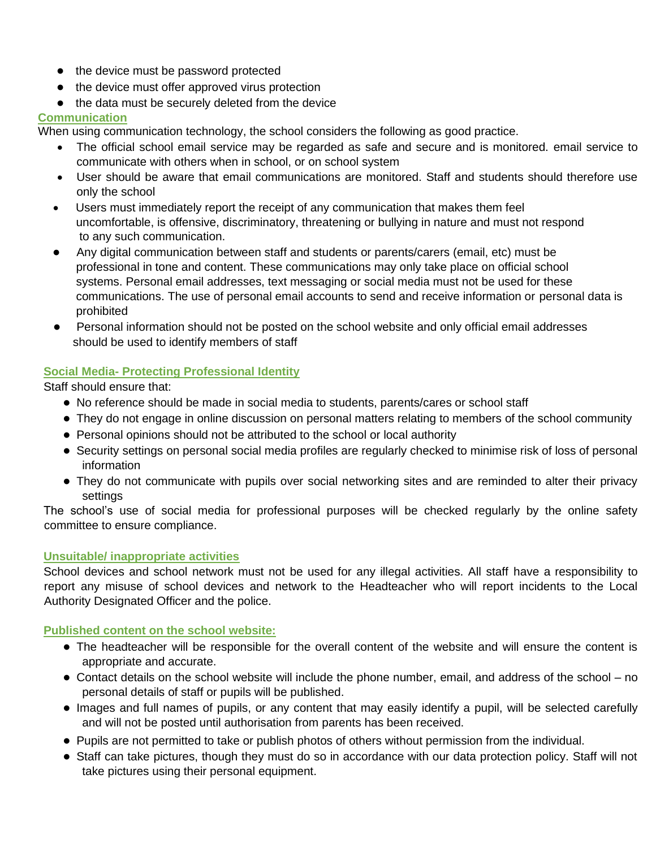- the device must be password protected
- the device must offer approved virus protection
- the data must be securely deleted from the device

# **Communication**

When using communication technology, the school considers the following as good practice.

- The official school email service may be regarded as safe and secure and is monitored. email service to communicate with others when in school, or on school system
- User should be aware that email communications are monitored. Staff and students should therefore use only the school
- Users must immediately report the receipt of any communication that makes them feel uncomfortable, is offensive, discriminatory, threatening or bullying in nature and must not respond to any such communication.
- Any digital communication between staff and students or parents/carers (email, etc) must be professional in tone and content. These communications may only take place on official school systems. Personal email addresses, text messaging or social media must not be used for these communications. The use of personal email accounts to send and receive information or personal data is prohibited
- Personal information should not be posted on the school website and only official email addresses should be used to identify members of staff

# **Social Media- Protecting Professional Identity**

Staff should ensure that:

- No reference should be made in social media to students, parents/cares or school staff
- They do not engage in online discussion on personal matters relating to members of the school community
- Personal opinions should not be attributed to the school or local authority
- Security settings on personal social media profiles are regularly checked to minimise risk of loss of personal information
- They do not communicate with pupils over social networking sites and are reminded to alter their privacy settings

The school's use of social media for professional purposes will be checked regularly by the online safety committee to ensure compliance.

# **Unsuitable/ inappropriate activities**

School devices and school network must not be used for any illegal activities. All staff have a responsibility to report any misuse of school devices and network to the Headteacher who will report incidents to the Local Authority Designated Officer and the police.

# **Published content on the school website:**

- The headteacher will be responsible for the overall content of the website and will ensure the content is appropriate and accurate.
- Contact details on the school website will include the phone number, email, and address of the school no personal details of staff or pupils will be published.
- Images and full names of pupils, or any content that may easily identify a pupil, will be selected carefully and will not be posted until authorisation from parents has been received.
- Pupils are not permitted to take or publish photos of others without permission from the individual.
- Staff can take pictures, though they must do so in accordance with our data protection policy. Staff will not take pictures using their personal equipment.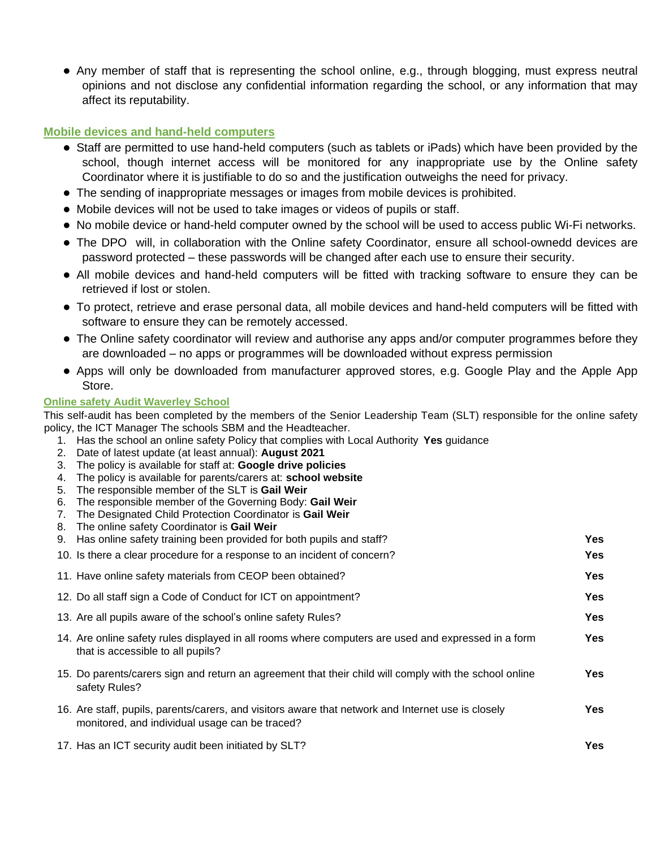● Any member of staff that is representing the school online, e.g., through blogging, must express neutral opinions and not disclose any confidential information regarding the school, or any information that may affect its reputability.

## **Mobile devices and hand-held computers**

- Staff are permitted to use hand-held computers (such as tablets or iPads) which have been provided by the school, though internet access will be monitored for any inappropriate use by the Online safety Coordinator where it is justifiable to do so and the justification outweighs the need for privacy.
- The sending of inappropriate messages or images from mobile devices is prohibited.
- Mobile devices will not be used to take images or videos of pupils or staff.
- No mobile device or hand-held computer owned by the school will be used to access public Wi-Fi networks.
- The DPO will, in collaboration with the Online safety Coordinator, ensure all school-ownedd devices are password protected – these passwords will be changed after each use to ensure their security.
- All mobile devices and hand-held computers will be fitted with tracking software to ensure they can be retrieved if lost or stolen.
- To protect, retrieve and erase personal data, all mobile devices and hand-held computers will be fitted with software to ensure they can be remotely accessed.
- The Online safety coordinator will review and authorise any apps and/or computer programmes before they are downloaded – no apps or programmes will be downloaded without express permission
- Apps will only be downloaded from manufacturer approved stores, e.g. Google Play and the Apple App Store.

## **Online safety Audit Waverley School**

This self-audit has been completed by the members of the Senior Leadership Team (SLT) responsible for the online safety policy, the ICT Manager The schools SBM and the Headteacher.

- 1. Has the school an online safety Policy that complies with Local Authority **Yes** guidance
- 2. Date of latest update (at least annual): **August 2021**
- 3. The policy is available for staff at: **Google drive policies**
- 4. The policy is available for parents/carers at: **school website**
- 5. The responsible member of the SLT is **Gail Weir**
- 6. The responsible member of the Governing Body: **Gail Weir**
- 7. The Designated Child Protection Coordinator is **Gail Weir**
- 8. The online safety Coordinator is **Gail Weir**

| 9. Has online safety training been provided for both pupils and staff?                                                                               | Yes        |
|------------------------------------------------------------------------------------------------------------------------------------------------------|------------|
| 10. Is there a clear procedure for a response to an incident of concern?                                                                             | <b>Yes</b> |
| 11. Have online safety materials from CEOP been obtained?                                                                                            | <b>Yes</b> |
| 12. Do all staff sign a Code of Conduct for ICT on appointment?                                                                                      | Yes        |
| 13. Are all pupils aware of the school's online safety Rules?                                                                                        | Yes        |
| 14. Are online safety rules displayed in all rooms where computers are used and expressed in a form<br>that is accessible to all pupils?             | Yes        |
| 15. Do parents/carers sign and return an agreement that their child will comply with the school online<br>safety Rules?                              | Yes        |
| 16. Are staff, pupils, parents/carers, and visitors aware that network and Internet use is closely<br>monitored, and individual usage can be traced? | <b>Yes</b> |
| 17. Has an ICT security audit been initiated by SLT?                                                                                                 | <b>Yes</b> |